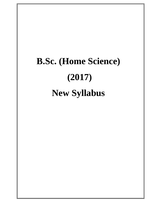### **B.Sc. (Home Science) (2017) New Syllabus**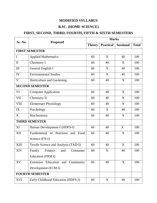### **MODIFIED SYLLABUS**

### **B.SC. (HOME SCIENCE)**

### **FIRST, SECOND, THIRD, FOURTH, FIFTH & SIXTH SEMESTERS**

| Sr. No.                | <b>Proposed</b>                      | <b>Marks</b>  |                  |                  |              |  |  |
|------------------------|--------------------------------------|---------------|------------------|------------------|--------------|--|--|
|                        |                                      | <b>Theory</b> | <b>Practical</b> | <b>Sessional</b> | <b>Total</b> |  |  |
| <b>FIRST SEMESTER</b>  |                                      |               |                  |                  |              |  |  |
| I                      | <b>Applied Mathematics</b>           | 60            | X                | 40               | 100          |  |  |
| $\mathbf{I}$           | Chemistry I                          | 60            | 40               | X                | 100          |  |  |
| III                    | General English I                    | 60            | X                | 40               | 100          |  |  |
| IV                     | <b>Environmental Studies</b>         | 60            | X                | 40               | 100          |  |  |
| V                      | Horticulture and Gardening           | 60            | 40               | X                | 100          |  |  |
| <b>SECOND SEMESTER</b> |                                      |               |                  |                  |              |  |  |
| VI                     | <b>Computer Application</b>          | 60            | 40               | X                | 100          |  |  |
| <b>VII</b>             | Chemistry II                         | 60            | 40               | X                | 100          |  |  |
| <b>VIII</b>            | <b>Elementary Physiology</b>         | 60            | 40               | X                | 100          |  |  |
| IX                     | Psychology                           | 60            | X                | 40               | 100          |  |  |
| X                      | Biochemistry                         | 60            | 40               | X                | 100          |  |  |
| <b>THIRD SEMESTER</b>  |                                      |               |                  |                  |              |  |  |
| XI                     | Human Development-I (HDFS-I)         | 60            | 40               | X                | 100          |  |  |
| XII                    | Fundamental of Nutrition and Food    | 60            | 40               | X                | 100          |  |  |
|                        | Science (FN-I)                       |               |                  |                  |              |  |  |
| XIII                   | Textile Science and Analysis (TAD-I) | 60            | 40               | X                | 100          |  |  |
| XIV                    | Family<br>Finance<br>and<br>Consumer | 60            | X                | 40               | 100          |  |  |
|                        | Education (FRM I)                    |               |                  |                  |              |  |  |
| XV                     | Extension Education and Community    | 60            | 40               | X                | 100          |  |  |
|                        | Development (ECM-I)                  |               |                  |                  |              |  |  |
| <b>FOURTH SEMESTER</b> |                                      |               |                  |                  |              |  |  |
| XVI                    | Early Childhood Education (HDFS-I)   | 60            | X                | 40               | 100          |  |  |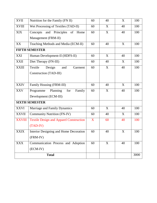| <b>XVII</b>           | Nutrition for the Family (FN II)               |    | 40 | X  | 100  |
|-----------------------|------------------------------------------------|----|----|----|------|
| <b>XVIII</b>          | Wet Processing of Textiles (TAD-II)            | 60 | X  | 40 | 100  |
| <b>XIX</b>            | and Principles<br>of<br>Concepts<br>Home       | 60 | X  | 40 | 100  |
|                       | Management (FRM-II)                            |    |    |    |      |
| XX                    | Teaching Methods and Media (ECM-II)            | 60 | 40 | X  | 100  |
| <b>FIFTH SEMESTER</b> |                                                |    |    |    |      |
| XXI                   | Human Development-II (HDFS-II)                 | 60 | X  | 40 | 100  |
| <b>XXII</b>           | Diet Therapy (FN-III)                          | 60 | 40 | X  | 100  |
| <b>XXIII</b>          | Textile<br>Design<br>and<br>Garment            | 60 | X  | 40 | 100  |
|                       | Construction (TAD-III)                         |    |    |    |      |
|                       |                                                |    |    |    |      |
| <b>XXIV</b>           | Family Housing (FRM-III)                       | 60 | 40 | X  | 100  |
| <b>XXV</b>            | Programme<br>Planning<br>Family<br>for         | 60 | X  | 40 | 100  |
|                       | Development (ECM-III)                          |    |    |    |      |
| <b>SIXTH SEMESTER</b> |                                                |    |    |    |      |
| <b>XXVI</b>           | Marriage and Family Dynamics                   | 60 | X  | 40 | 100  |
| <b>XXVII</b>          | <b>Community Nutrition (FN-IV)</b>             | 60 | 40 | X  | 100  |
| <b>XXVIII</b>         | <b>Textile Design and Apparel Construction</b> | X  | 60 | 40 | 100  |
|                       | $(TAD-IV)$                                     |    |    |    |      |
| <b>XXIX</b>           | Interior Designing and Home Decoration         | 60 | 40 | X  | 100  |
|                       | (FRM-IV)                                       |    |    |    |      |
| <b>XXX</b>            | Communication Process and Adoption             | 60 | X  | 40 | 100  |
|                       | $(ECM-IV)$                                     |    |    |    |      |
| <b>Total</b>          |                                                |    |    |    | 3000 |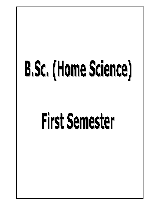# B.Sc. (Home Science)

## **First Semester**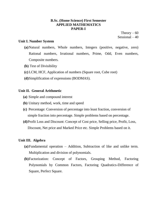### **B.Sc. (Home Science) First Semester APPLIED MATHEMATICS PAPER-I**

Theory  $-60$ Sessional – 40

### **Unit I. Number System**

- **(a)**Natural numbers, Whole numbers, Integers (positive, negative, zero) Rational numbers, Irrational numbers, Prime, Odd, Even numbers, Composite numbers.
- **(b)** Test of Divisibility
- **(c)** LCM, HCF, Application of numbers (Square root, Cube root)
- **(d)**Simplification of expressions (BODMAS).

### **Unit II. General Arithmetic**

- **(a)** Simple and compound interest
- **(b)** Unitary method, work, time and speed
- **(c)** Percentage: Conversion of percentage into least fraction, conversion of simple fraction into percentage. Simple problems based on percentage.
- **(d)**Profit Loss and Discount: Concept of Cost price, Selling price, Profit, Loss, Discount, Net price and Marked Price etc. Simple Problems based on it.

### **Unit III. Algebra**

- **(a)**Fundamental operation Addition, Subtraction of like and unlike term. Multiplication and division of polynomials.
- **(b)**Factorization: Concept of Factors, Grouping Method, Factoring Polynomials by Common Factors, Factoring Quadratics-Difference of Square, Perfect Square.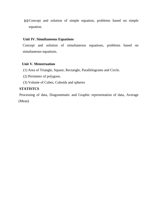**(c)** Concept and solution of simple equation, problems based on simple equation.

### **Unit IV. Simultaneous Equations**

Concept and solution of simultaneous equations, problems based on simultaneous equations.

### **Unit V. Menstruation**

- (1) Area of Triangle, Square, Rectangle, Parallelograms and Circle.
- (2) Perimeter of polygons.
- (3) Volume of Cubes, Cuboids and spheres

### **STATISTCS**

Processing of data, Diagrammatic and Graphic representation of data, Average (Mean)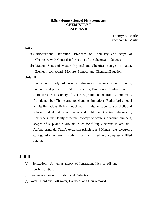### **B.Sc. (Home Science) First Semester CHEMISTRY I PAPER-II**

Theory: 60 Marks Practical: 40 Marks

### $\mathbf{Unit} - \mathbf{I}$

- (a) Introduction:- Definition, Branches of Chemistry and scope of Chemistry with General Information of the chemical industries.
- (b) Matter:- States of Matter, Physical and Chemical changes of matter, Element, compound, Mixture, Symbol and Chemical Equation.

### **Unit –II**

 Elementary Study of Atomic structure:- Dalton's atomic theory, Fundamental particles of Atom (Electron, Proton and Neutron) and the characteristics, Discovery of Electron, proton and neutron, Atomic mass, Atomic number, Thomson's model and its limitations. Rutherford's model and its limitations, Bohr's model and its limitations, concept of shells and subshells, dual nature of matter and light, de Broglie's relationship, Heisenberg uncertainty principle, concept of orbitals, quantum numbers, shapes of s, p and d orbitals, rules for filling electrons in orbitals - Aufbau principle, Pauli's exclusion principle and Hund's rule, electronic configuration of atoms, stability of half filled and completely filled orbitals.

### **Unit III**

- (a) Ionization:- Arrhenius theory of Ionization, Idea of pH and buffer solution.
- (b) Elementary idea of Oxidation and Reduction.
- (c) Water:- Hard and Soft water, Hardness and their removal.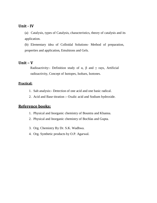### **Unit - IV**

(a) Catalysis, types of Catalysis, characteristics, theory of catalysis and its application.

(b) Elementary idea of Colloidal Solutions- Method of preparation, properties and application, Emulsions and Gels.

### **Unit – V**

Radioactivity:- Definition study of  $\alpha$ ,  $\beta$  and  $\gamma$  rays, Artificial radioactivity, Concept of Isotopes, Isobars, Isotones.

### **Practical:**

- 1. Salt analysis:- Detection of one acid and one basic radical.
- 2. Acid and Base titration :- Oxalic acid and Sodium hydroxide.

### **Reference books:**

- 1. Physical and Inorganic chemistry of Bountra and Khanna.
- 2. Physical and Inorganic chemistry of Bochlas and Gupta.
- 3. Org. Chemistry By Dr. S.K. Wadhwa.
- 4. Org. Synthetic products by O.P. Agarwal.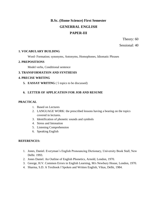### **B.Sc. (Home Science) First Semester GENERRAL ENGLISH PAPER-III**

Theory: 60

Sessional: 40

### **1. VOCABULARY BUILDING**

Word- Formation; synonyms, Antonyms, Homophones, Idiomatic Phrases

### **2. PREPOSITIONS**

Model verbs, Conditional sentence

### **3. TRANSFORMATION AND SYNTHESIS**

### **4. PRECISE WRITING**

**5. EASSAY WRITING** ( 5 topics to be discussed)

### **6. LETTER OF APPLICATION FOR JOB AND RESUME**

### **PRACTICAL**

- 1. Based on Lectures
- 2. LANGUAGE WORK: the prescribed lessons having a bearing on the topics covered in lectures.
- 3. Identification of phonetic sounds and symbols
- 4. Stress and Intonation
- 5. Listening Comprehension
- 6. Speaking English

### **REFERENCES:**

- 1. Jones, Daniel. Everyman"s English Pronouncing Dictionary, University Book Stall, New Delhi. 1993.
- 2. Jones Daniel. An Outline of English Phonetics, Arnold, London, 1970.
- 3. George, H.V. Common Errors in English Learning, M/s Newbury House, London, 1970.
- 4. Sharma, S.D. A Textbook f Spoken and Written English, Vikas, Delhi, 1984.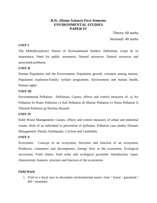### **B.Sc. (Home Science) First Semester ENVIRONMENTAL STUDIES PAPER-IV**

Theory: 60 marks Sessional: 40 marks

### **UNIT I**

The Multidisciplinary Nature of Environmental Studies: Definition, scope & its importance, Need for public awareness. Natural resources: Natural resources and associated problems.

### **UNIT II**

Human Population and the Environment, Population growth, variation among nations, Population explosion-Family welfare programme, Environment and human health, Human rights

### **UNIT III**

Environmental Pollution: Definition, Causes, effects and control measures of: a) Air Pollution b) Water Pollution c) Soil Pollution d) Marine Pollution e) Noise Pollution f) Thermal Pollution g) Nuclear Hazards

### **UNIT IV**

Solid Waste Management: Causes, effects and control measures of urban and industrial wastes. Role of an individual in prevention of pollution. Pollution case studies Disaster Management: Floods, Earthquake, Cyclone and Landslides

### **UNIT V**

Ecosystem: Concept of an ecosystem, Structure and function of an ecosystem, Producers, consumers and decomposers, Energy flow in the ecosystem, Ecological succession, Food chains, food webs and ecological pyramids. Introduction, types, characteristic features, structure and function of the ecosystems

### **Field Work**

1. Visit to a local area to document environmental assets–river / forest / grassland / hill / mountain.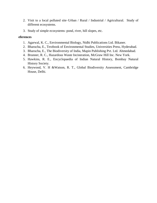- 2. Visit to a local polluted site–Urban / Rural / Industrial / Agricultural. Study of different ecosystems.
- 3. Study of simple ecosystems–pond, river, hill slopes, etc.

### **eferences**

- 1. Agarwal, K. C., Environmental Biology, Nidhi Publications Ltd. Bikaner.
- 2. Bharucha, E., Textbook of Environmental Studies, Universities Press, Hyderabad.
- 3. Bharucha, E., The Biodiversity of India, Mapin Publishing Pvt. Ltd. Ahmedabad.
- 4. Brunner, R. C., Hazardous Waste Incineration, McGraw Hill Inc. New York.
- 5. Hawkins, R. E., Encyclopaedia of Indian Natural History, Bombay Natural History Society.
- 6. Heywood, V. H &Watson, R. T., Global Biodiversity Assessment, Cambridge House, Delhi.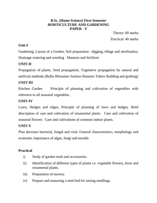### **B.Sc. (Home Science) First Semester HORTICULTURE AND GARDENING PAPER - V**

Theory: 60 marks Practical: 40 marks

### **Unit-I**

Gardening, Layout of a Garden, Soil preparation –digging, tillage and sterilisation. Drainage watering and weeding Manures and fertilizes

### **UNIT-II**

Propagation of plants, Seed propagation, Vegetative propagation by natural and artificial methods (Bulbs Rhizomes Suckers Runners Tubers Budding and grafting)

### **UNIT-III**

Kitchen Garden Principle of planning and cultivation of vegetables with reference to all seasonal vegetables.

### **UNIT-IV**

Lawn, Hedges and edges, Principle of planning of lawn and hedges. Brief description of care and cultivation of ornamental plants Care and cultivation of seasonal flowers Care and cultivations of common indoor plants.

### **UNIT-V**

Plan deceases bacterial, fungal and viral. General characteristics, morphology and economic importance of algae, fungi and moulds

### **Practical**

- i) Study of garden tools and accessories.
- ii) Identification of different types of plants i.e. vegetable flowers, ferns and ornamental plants.
- iii) Preparation of nursery.
- iv) Prepare and manuring a seed bed for raising seedlings.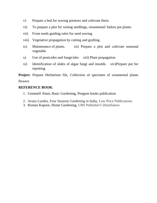- v) Prepare a bed for sowing potatoes and cultivate them.
- vi) To prepare a plot for raising seedlings, ornamental/ Indore pot plants.
- vii) From seeds guiding rules for seed sowing.
- viii) Vegetative propagation by cutting and grafting.
- ix) Maintenance of plants. xii) Prepare a plot and cultivate seasonal vegetable
- x) Use of pesticides and fungicides xiii) Plant propagation
- xi) Identification of slides of algae fungi and moulds. xiv)Prepare pot for repotting

**Project**: Prepare Herbarium file, Collection of specimen of ornamental plants

### flowers

### **REFERENCE BOOK**:

- 1. Gemmell Alam, Basic Gardening, Penguin books publication
- 2. Aruna Lundra, Four Seasons Gardening in India, Low Price Publications
- 3. Roman Kapoor, Home Gardening, UBS Publisher's Distributors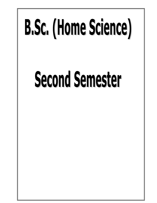# **B.Sc. (Home Science)**

### **Second Semester**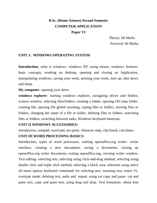### **B.Sc. (Home Science) Second Semester COMPUTER APPLICATION Paper VI**

 Theory: 60 Marks Practical: 40 Marks

### **UNIT 1: WINDOWS OPERATING SYSTEM**

**Introduction**, what is windows, windows XP, using mouse, windows featuresbasic concepts, working on desktop, opening and closing an Application, manipulating windows, saving your work, printing your work, start up, shut down and sleep.

**My computer**- opening your drive.

**windows explorer**- starting windows explorer, navigating drives and folders, science window, selecting files/folders, creating a folder, opening IXComp folder, creating file, opening file global warming, coping files or folders, moving files or folders, changing the name of a file or folder, deleting files or folders, searching files or folders, switching between tasks, Windows keyboard shortcuts.

### **UNIT II WINDOWS ACCESSORIES:**

Introduction, notepad, word pad, ms-point, character map, clip board, calculator.

### **UNIT III WORD PROCESSING BASICS:**

Introduction, types of word processors, starting openoffice.org writer- writer interface, creating a new documents, saving a documents, closing an openoffice.org writer documents, exiting openoffice.org, viewing writer window. Text editing- selecting text, selecting using click-and-drag method, selecting using double click and triple click method, selecting a block area, selection using select all menu option, keyboard commands for selecting text, inserting text, insert Vs. overtype mode, deleting text, undo and repeat. using cut copy and paste- cut and paste text, copy and paste text, using drag and drop. Text formation- about font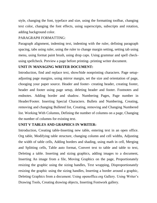style, changing the font, typeface and size, using the formatting toolbar, changing text color, changing the font effects, using superscripts, subscripts and rotation, adding background color.

### PARAGRAPH FORMATTING:

Paragraph alignment, indenting text, indenting with the ruler, defining paragraph spacing, tabs using ruler, using the ruler to change margin setting, setting tab using menu, using format paint brush, using drop caps. Using grammar and spell checkusing spellcheck. Preview a page before printing- printing writer document.

### **UNIT IV MANAGING WRITER DOCUMENT:**

Introduction, find and replace text, show/hide nonprinting characters. Page setupadjusting page margins, using mirror margin, set the size and orientation of page, chooging your paper source. Header and footer- creating header, creating footer, header and footer using page setup, deleting header and footer. Footnotes and endnotes. Adding border and shadow. Numbering Pages, Page number in Header/Footer. Inserting Special Characters. Bullets and Numbering, Creating, removing and changing Bulleted list, Creating, removing and Changing Numbered list. Working With Columns, Defining the number of columns on a page, Changing the number of columns for existing text.

### **UNIT V TABLES AND GRAPHICS IN WRITER:**

Introduction, Creating table-Inserting new table, entering text in an open office. Org table, Modifying table structure, changing column and cell widths, Adjusting the width of table cells, Adding borders and shading, using math in cell, Merging and Splitting cells, Table auto format, Convert text to table and table to text, Deleting a table. Inserting and sizing graphics, adding images to a document, Inserting An image from a file, Moving Graphics on the page, Proportionately resizing the graphic using the sizing handles, Text wrapping, Disproportionately resizing the graphic using the sizing handles, Inserting a border around a graphic, Deleting Graphics from a document. Using openoffice.org Gallery. Using Writer's Drawing Tools, Creating drawing objects, Inserting Fontwork gallery.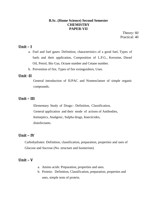### **B.Sc. (Home Science) Second Semester CHEMISTRY PAPER-VII**

Theory: 60 Practical: 40

### **Unit – I**

- a. Fuel and fuel gases: Definition, characteristics of a good fuel, Types of fuels and their application, Composition of L.P.G., Kerosine, Diesel Oil, Petrol, Bio Gas, Octane number and Cetane number.
- b. Prevention of fire, Types of fire extinguishers, Uses.

### **Unit -II**

 General introduction of IUPAC and Nomenclature of simple organic compounds.

### **Unit – III**

 Elementary Study of Drugs:- Definition, Classification, General application and their mode of actions of Antibodies, Antiseptics, Analgesic, Sulpha drugs, Insecticides, disinfectants.

### **Unit – IV**

Carbohydrates: Definition, classification, preparation, properties and uses of Glucose and Sucrose (No. structure and Isomerism)

### **Unit – V**

- a. Amino acids: Preparation, properties and uses.
- b. Protein: Definition, Classification, preparation, properties and uses, simple tests of protein.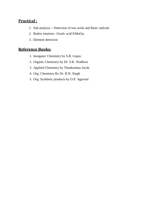### **Practical :**

- 1. Salt analysis :- Detection of two acids and Basic radicals
- 2. Redox tritation:- Oxalic acid KMnO4
- 3. Element detection

### **Reference Books:**

- 1. Inorganic Chemistry by S.R. Gupta
- 2. Organic Chemistry by Dr. S.K. Wadhwa
- 3. Applied Chemistry by Thankamma Jacob.
- 4. Org. Chemistry By Dr. R.N. Singh
- 5. Org. Synthetic products by O.P. Agarwal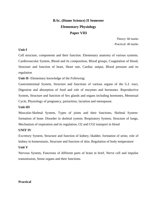### **B.Sc. (Home Science) II Semester Elementary Physiology Paper VIII**

Theory: 60 marks Practical: 40 marks

### **Unit-I**

Cell structure, components and their function. Elementary anatomy of various systems. Cardiovascular System, Blood and its composition, Blood groups, Coagulation of blood, Structure and function of heart, Heart rate, Cardiac output, Blood pressure and its regulation

**Unit-II**- Elementary knowledge of the Following:

Gastrointestinal System, Structure and functions of various organs of the G.I. tract, Digestion and absorption of food and role of enzymes and hormones. Reproductive System, Structure and function of Sex glands and organs including hormones, Menstrual Cycle, Physiology of pregnancy, parturition, lactation and menopause.

### **Unit-III**

Muscular-Skeletal System, Types of joints and their functions, Skeletal Systemformation of bone. Disorder in skeletal system. Respiratory System, Structure of lungs, Mechanism of respiration and its regulation, O2 and CO2 transport in blood

### **UNIT IV**

Excretory System, Structure and function of kidney, bladder, formation of urine, role of kidney in homeostasis, Structure and function of skin, Regulation of body temperature

### **Unit V**

Nervous System, Functions of different parts of brain in brief, Nerve cell and impulse transmission, Sense organs and their functions.

### **Practical**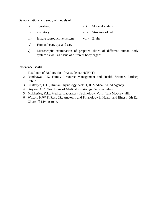Demonstrations and study of models of

- i) digestive, vi) Skeletal system
- ii) excretory vii) Structure of cell
- iii) female reproductive system viii) Brain
- iv) Human heart, eye and ear.
- v) Microscopic examination of prepared slides of different human body system as well as tissue of different body organs.

### **Reference Books**

- 1. Text book of Biology for 10+2 students (NCERT)
- 2. Randhawa, RK, Family Resource Management and Health Science, Pardeep Public.
- 3. Chatterjee, C.C., Human Physiology. Vols. I, II. Medical Allied Agency.
- 4. Guyton, A.C., Text Book of Medical Physiology. WB Saunders.
- 5. Mukherjee, K.L., Medical Laboratory Technology. Vol I. Tata McGraw Hill.
- 6. Wilson, KJW & Ross JS., Anatomy and Physiology in Health and Illness. 6th Ed. Churchill Livingstone.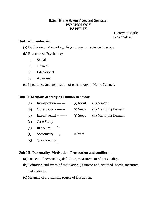### **B.Sc. (Home Science) Second Semester PSYCHOLOGY PAPER-IX**

Theory: 60Marks Sessional: 40

### **Unit I – Introduction**

- (a) Definition of Psychology. Psychology as a science its scope.
- (b) Branches of Psychology
	- i. Social
	- ii. Clinical
	- iii. Educational
	- iv. Abnormal
- (c) Importance and application of psychology in Home Science.

### **Unit II- Methods of studying Human Behavior**

| (a) | Introspection ------- | (i) Merit | (ii) demerit.            |
|-----|-----------------------|-----------|--------------------------|
| (b) | Observation --------  | (i) Steps | (ii) Merit (iii) Demerit |
| (c) | Experimental -------- | (i) Steps | (ii) Merit (iii) Demerit |
| (d) | Case Study            |           |                          |
| (e) | Interview             |           |                          |
| (f) | Sociometry            | in brief  |                          |
| (g) | Questionnaire         |           |                          |

### **Unit III- Personality, Motivation, Frustration and conflicts:-**

- (a) Concept of personality, definition, measurement of personality.
- (b)Definition and types of motivation (i) innate and acquired, needs, incentive and instincts.
- (c) Meaning of frustration, source of frustration.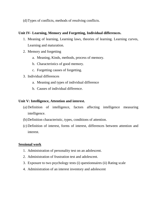(d)Types of conflicts, methods of resolving conflicts.

### **Unit IV- Learning, Memory and Forgetting, Individual differences.**

- 1. Meaning of learning, Learning laws, theories of learning. Learning curves, Learning and maturation.
- 2. Memory and forgetting
	- a. Meaning, Kinds, methods, process of memory.
	- b. Characteristics of good memory.
	- c. Forgetting causes of forgetting.
- 3. Individual differences
	- a. Meaning and types of individual difference
	- b. Causes of individual difference.

### **Unit V: Intelligence, Attention and interest.**

- (a) Definition of intelligence, factors affecting intelligence measuring intelligence.
- (b)Definition characteristic, types, conditions of attention.
- (c) Definition of interest, forms of interest, differences between attention and interest.

### **Sessional work**

- 1. Administration of personality test on an adolescent.
- 2. Administration of frustration test and adolescent.
- 3. Exposure to two psychology tests (i) questionnaires (ii) Rating scale
- 4. Administration of an interest inventory and adolescent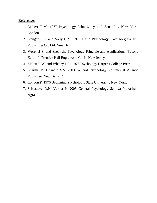### **References**

- 1. Liebert R.M. 1977 Psychology John wiley and Sons Inc. New York, London.
- 2. Stanger R.S. and Solly C.M. 1970 Basic Psychology, Tata Megraw Hill Publishing Co. Ltd. New Delhi.
- 3. Worehel S. and Shebilshe Psychology Principle and Applications (Second Edition). Prentice Hall Englewood Cliffs, New Jersey.
- 4. Malott R.W. and Whaley D.L. 1976 Psychology Harper's College Press.
- 5. Sharma M. Chandra S.S. 2003 General Psychology Volume- II Atlantie Publishers New Delhi. 27.
- 6. London P. 1970 Beginning Psychology. State University, New York.
- 7. Srivastava D.N. Verma P. 2005 General Psychology Sahitya Prakashan, Agra.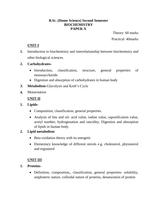### **B.Sc. (Home Science) Second Semester BIOCHEMISTRY PAPER-X**

Theory: 60 marks Practical: 40marks

### **UNIT-I**

**1.** Introduction to biochemistry and interrelationship between biochemistry and other biological sciences.

### **2. Carbohydrates-**

- Introduction, classification, structure, general properties of monosaccharide.
- Digestion and absorption of carbohydrates in human body
- **3. Metabolism**-Glycolysis and Kreb"s Cycle
- **4.** Mutarotation

### **UNIT-II**

- **1. Lipids-**
	- Composition, classification, general properties.
	- Analysis of fats and oil- acid value, iodine value, saponification value, acetyl number, hydrogenation and rancidity, Digestion and absorption of lipids in human body.

### **2. Lipid metabolism**

- Beta oxidation theory with its energetic
- Elementary knowledge of different sterols e.g. cholesterol, phytosterol and ergosterol

### **UNIT-III**

- **1. Proteins-**
	- Definition, composition,, classification, general properties- solubility, amphoteric nature, colloidal nature of proteins, denaturation of protein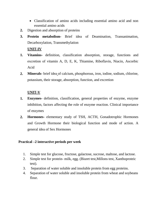- Classification of amino acids including essential amino acid and non essential amino acids
- **2.** Digestion and absorption of proteins
- **3. Protein metabolism-** Brief idea of Deamination, Transanimation, Decarboxylation, Transmethylation

**UNIT-IV**

- **1. Vitamins-** definition, classification absorption, storage, functions and excretion of vitamin A, D, E, K, Thiamine, Riboflavin, Niacin, Ascorbic Acid
- **2. Minerals-** brief idea of calcium, phosphorous, iron, iodine, sodium, chlorine, potassium, their storage, absorption, function, and excretion

### **UNIT-V**

- **1. Enzymes-** definition, classification, general properties of enzyme, enzyme inhibition, factors affecting the role of enzyme reaction. Clinical importance of enzymes
- **2. Hormones-** elementary study of TSH, ACTH, Gonadotrophic Hormones and Growth Hormone their biological function and mode of action. A general idea of Sex Hormones

### **Practical –2 interactive periods per week**

- 1. Simple test for glucose, fructose, galactose, sucrose, maltose, and lactose.
- 2. Simple test for protein- milk, egg. (Biuret test,Millons test, Xanthoproteic test).
- 3. Separation of water soluble and insoluble protein from egg proteins.
- 4. Separation of water soluble and insoluble protein from wheat and soybeans flour.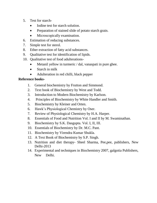- 5. Test for starch-
	- Iodine test for starch solution.
	- Preparation of stained slide of potato starch grain.
	- Microscopically examination.
- 6. Estimation of reducing substances.
- 7. Simple test for sterol.
- 8. Ether extraction of fatty acid substances.
- 9. Qualitative test for identification of lipids.
- 10. Qualitative test of food adulterations-
	- Metanil yellow in turmeric / dal, vanaspati in pure ghee.
	- Starch in milk
	- Adulteration in red chilli, black pepper

### **Reference books-**

- 1. General biochemistry by Frutton and Simmond.
- 2. Text book of Biochemistry by West and Todd.
- 3. Introduction to Modern Biochemistry by Karlson.
- 4. Principles of Biochemistry by White Handler and Smith.
- 5. Biochemistry by Kleiner and Orten.
- 6. Hawk"s Physiological Chemistry by Oser.
- 7. Review of Physiological Chemistry by H.A. Harper.
- 8. Essentials of Food and Nutrition Vol. I and II by M. Swaminathan.
- 9. Biochemistry by S.K. Dasgupta. Vol. I, II, III.
- 10. Essentials of Biochemistry by Dr. M.C. Pant.
- 11. Biochemistry by Virendra Kumar Shukla.
- 12. A Text Book of Biochemistry by S.P. Singh.
- 13. Nutrition and diet therapy- Sheel Sharma, Pee,pee, publishers, New Delhi-2013
- 14. Experimental and techniques in Biochemistry 2007, galgotia Publishers, New Delhi.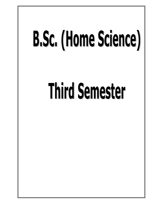## B.Sc. (Home Science)

### **Third Semester**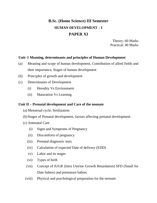### **B.Sc. (Home Science) III Semester HUMAN DEVELOPMENT – I PAPER XI**

Theory: 60 Marks Practical: 40 Marks

### **Unit–1 Meaning, determinants and principles of Human Development**

- (a) Meaning and scope of human development, Contribution of allied fields and their importance, Stages of human development
- (b) Principles of growth and development
- (c) Determinants of Development
	- (i) Heredity Vs Environment
	- (ii) Maturation Vs Learning

### **Unit II – Prenatal development and Care of the neonate**

- (a) Menstrual cycle, fertilization
- (b) Stages of Prenatal development, factors affecting prenatal development
- (c) Antenatal Care
	- (i) Signs and Symptoms of Pregnancy
	- (ii) Discomforts of pregnancy
	- (iii) Prenatal diagnostic tests
	- (iv) Calculation of expected Date of delivery (EDD)
	- (v) Labor and its stages
	- (vi) Types of birth
	- (vii) Concept of IUGR (Intra Uterine Growth Retardation) SFD (Small for Date babies) and premature babies.
	- (viii) Physical and psychological preparation for the neonate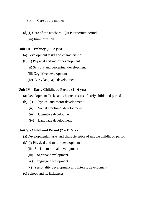- (ix) Care of the mother
- (d)(i) Care of the newborn (ii) Puerperium period
	- (iii) Immunization

### Unit  $III - Infancy (0 - 2 yrs)$

- (a) Development tasks and characteristics
- (b) (i) Physical and motor development
	- (ii) Sensory and perceptual development
	- (iii)Cognitive development
	- (iv) Early language development

### **Unit IV – Early Childhood Period (2 - 6 yrs)**

- (a) Development Tasks and characteristics of early childhood period
- (b) (i) Physical and motor development
	- (ii) Social emotional development
	- (iii) Cognitive development
	- (iv) Language development

### **Unit V - Childhood Period (7 – 11 Yrs)**

- (a) Developmental tasks and characteristics of middle childhood period
- (b) (i) Physical and motor development
	- (ii) Social emotional development
	- (iii) Cognitive development
	- (iv) Language development
	- (v) Personality development and Interest development
- (c) School and its influences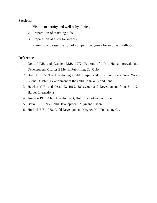### **Sessional**

- 1. Visit to maternity and well baby clinics.
- 2. Preparation of teaching aids
- 3. Preparation of a toy for infants.
- 4. Planning and organization of competitive games for middle childhood.

### **References**

- 1. Dolloff P.B. and Resnick M.R. 1972. Patterns of life : Human growth and Development, Charles E Merrill Publishing Co. Ohio.
- 2. Bee H. 1985. The Developing Child, Harper and Row Publishers New York. Elkind D, 1978, Development of the child, John Wily and Sons.
- 3. Hawkes G.R. and Pease D. 1962. Behaviour and Development from 5 12, Harper Internationa.
- 4. Ambron 1978. Child Development, Holt Rinchart and Winston.
- 5. Berke L.E. 1995. Child Development, Allyn and Bacon.
- 6. Hurlock E.B. 1978. Child Development, Mcgraw Hill Publishing Co.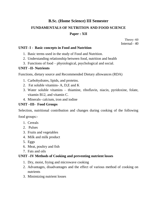### **B.Sc. (Home Science) III Semester FUNDAMENTALS OF NUTRITION AND FOOD SCIENCE Paper : XII**

Theory -60 Internal– 40

### **UNIT- I - Basic concepts in Food and Nutrition**

- 1. Basic terms used in the study of Food and Nutrition.
- 2. Understanding relationship between food, nutrition and health
- 3. Functions of food physiological, psychological and social.

### **UNIT –II- Nutrients**

Functions, dietary source and Recommended Dietary allowances (RDA)

- 1. Carbohydrates, lipids, and proteins.
- 2. Fat soluble vitamins- A, D,E and K
- 3. Water soluble vitamins thiamine, riboflavin, niacin, pyridoxine, folate, vitamin B12, and vitamin C.
- 4. Minerals- calcium, iron and iodine

### **UNIT –III- Food Groups**

Selection, nutritional contribution and changes during cooking of the following

food groups:-

- 1. Cereals
- 2. Pulses
- 3. Fruits and vegetables
- 4. Milk and milk product
- 5. Eggs
- 6. Meat, poultry and fish
- 7. Fats and oils

### **UNIT –IV Methods of Cooking and preventing nutrient losses**

- 1. Dry, moist, frying and microwave cooking
- 2. Advantages, disadvantages and the effect of various method of cooking on nutrients
- 3. Minimizing nutrient losses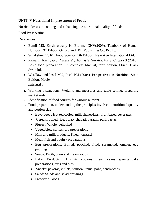### **UNIT- V Nutritional Improvement of Foods**

Nutrient losses in cooking and enhancing the nutritional quality of foods.

Food Preservation

### **References:**

- Bamji MS, Krishnaswany K, Brahma GNV(2009). Textbook of Human Nutrition, 3rd Edition.Oxford and IBH Publishing Co. Pvt.Ltd.
- Srilakshmi (2010). Food Science, 5th Edition. New Age International Ltd.
- Raina U, Kashyap S, Narula V, Thomas S, Survira, Vir S, Chopra S (2010). Basic food preparation : A complete Manual, forth edition, Orient Black Swan ltd.
- Wardlaw and Insel MG, Insel PM (2004). Perspectives in Nutrition, Sixth Edition. Mosby.

### **Internal :**

- 1. Working instructions. Weights and measures and table setting, preparing market order.
- 2. Identification of food sources for various nutrient
- 3. Food preparation, understanding the principles involved , nutritional quality and portion size
	- Beverages : Hot tea/coffee, milk shakes/lassi, fruit based beverages
	- Cereals: boiled rice, pulao, chapati, paratha, puri, pastas.
	- Pluses : Whole, dehusked
	- Vegetables: curries, dry preparations
	- Milk and milk products: Kheer, custard
	- Meat, fish and poultry preparations
	- Egg preparations: Boiled, poached, fried, scrambled, omelet, egg pudding
	- Soups: Broth, plain and cream soups
	- Baked Products : Biscuits, cookies, cream cakes, sponge cake preparations, tarts and pies.
	- Snacks: pakoras, cutlets, samosa, upma, poha, sandwiches
	- Salad: Salads and salad dressings
	- Preserved Foods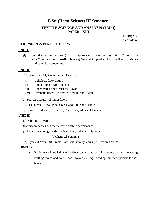### **B.Sc. (Home Science) III Semester**

### **TEXTILE SCIENCE AND ANALYSIS (TAD-I) PAPER - XIII**

Theory: 60 Sessional: 40

### **COURSE CONTENT : THEORY**

### **UNIT I:**

(i) Introduction to textiles (ii) Its importance in day to day life (iii) Its scope (iv) Classification of textile fibers (v) General Properties of textile fibers – primary and secondary properties.

### **UNIT II:**

- (a) Raw material, Properties and Uses of
	- (i) Cellulosic fiber-Cotton
	- (ii) Protein fibers- wool and silk
	- (iii) Regenerated fiber –Viscose Rayon
- (iv) Synthetic fibers –Polyester, Acrylic and Nylon
- (b) Sources and uses of minor fibers-
	- (i) Cellulosic Sisal, Pina, Coir, Kapok, Jute and Ramie
	- (ii) Protein Mohair, Cashmere, Camel hair, Alpaca, Llama, Vicuna

### **UNIT III:**

- (a)Definition of yarn
- (b)Yarn properties and their effect on fabric performance
- (c)Types of spinning-(i) Mechanical (Ring and Rotor) Spinning

(ii)Chemical Spinning

(d) Types of Yarn – (i) Simple Yarns (ii) Novelty Yarns (iii) Textured Yarns

### **UNIT IV:**

(a) Preliminary knowledge of various techniques of fabric construction – weaving, knitting (warp and weft), non –woven (felting, braiding, multicomponent fabricsbonded).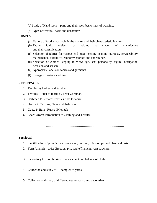- (b) Study of Hand loom parts and their uses, basic steps of weaving.
- (c) Types of weaves –basic and decorative

### **UNIT V:**

- (a) Variety of fabrics available in the market and their characteristic features.
- (b) Fabric faults /defects as related to stages of manufacture and their classification.
- (c) Selection of fabrics for various end- uses keeping in mind: purpose, serviceability, maintenance, durability, economy, storage and appearance.
- (d) Selection of clothes keeping in view: age, sex, personality, figure, occupation, occasion and season.
- (e) Appropriate labels on fabrics and garments.
- (f) Storage of various clothing.

### **REFERENCES**

- 1. Textiles by Hollen and Saddler.
- 2. Textiles Fiber to fabric by Peter Corbman.
- 3. Corbmen P Bernard: Textiles fiber to fabric
- 4. Hess KP: Textiles, fibres and their uses
- 5. Gupta & Bajaj: Rui se Nylon tak
- 6. Charu Arora: Introduction to Clothing and Textiles

………………………………………………………………….

### **Sessional:**

- 1. Identification of pure fabrics by visual, burning, microscopic and chemical tests.
- 2. Yarn Analysis twist direction, ply, staple/filament, yarn structure.
- 3. Laboratory tests on fabrics Fabric count and balance of cloth.
- 4. Collection and study of 15 samples of yarns.
- 5. Collection and study of different weaves-basic and decorative.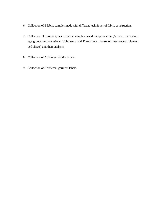- 6. Collection of 5 fabric samples made with different techniques of fabric construction.
- 7. Collection of various types of fabric samples based on application (Apparel for various age groups and occasions, Upholstery and Furnishings, household use-towels, blanket, bed sheets) and their analysis.
- 8. Collection of 5 different fabrics labels.
- 9. Collection of 5 different garment labels.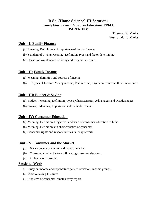### **B.Sc. (Home Science) III Semester Family Finance and Consumer Education (FRM I) PAPER XIV**

Theory: 60 Marks Sessional: 40 Marks

### **Unit – I: Family Finance**

- (a) Meaning, Definition and importance of family finance.
- (b) Standard of Living: Meaning, Definition, types and factor determining.
- (c) Causes of low standard of living and remedial measures.

### **Unit – II: Family Income**

- (a) Meaning, definition and sources of income.
- (b) Types of Income: Money income, Real income, Psychic income and their importance.

### **Unit – III: Budget & Saving**

- (a) Budget Meaning, Definition, Types, Characteristics, Advantages and Disadvantages.
- (b) Saving Meaning, Importance and methods to save.

### **Unit – IV: Consumer Education**

- (a) Meaning, Definition, Objectives and need of consumer education in India.
- (b) Meaning, Definition and characteristics of consumer.
- (c) Consumer rights and responsibilities in today"s world.

### **Unit – V: Consumer and the Market**

- (a) Basic concept of market and types of market.
- (b) Consumer choice: Factors influencing consumer decisions.
- (c) Problems of consumer.

### **Sessional Work**

- a. Study on income and expenditure pattern of various income groups.
- b. Visit to Saving Institutes.
- c. Problems of consumer- small survey report.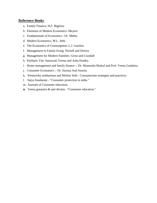### **Reference Books**

- a. Family Finance: H.F. Bigelow
- b. Elements of Modern Economics: Meyere
- c. Fundamentals of Economics: J.K. Mehta
- d. Modern Economics: M.L. Seth.
- e. The Economics of Consumption: L.J. Garelen.
- f. Management in Family living: Nickell and Dorsey
- g. Management for Modern Families: Gross and Crandall
- h. Paribaric Vitt: Saraswati Verma and Asha Pandey.
- i. Home management and family finance :- Dr. Maneesha Shukul and Prof. Veena Gandotra
- j. Consumer Economics :- Dr. Saxena And Saxena
- k. Premovthy seetharman and Mohini Seth Consumerism strategies and practices.
- l. Satya Sundaram "Consumer protection in india."
- m. Journals of Consumer education.
- **n.** Veena gonaotra & ami divatia "Consumer education."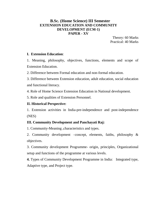# **B.Sc. (Home Science) III Semester EXTENSION EDUCATION AND COMMUNITY DEVELOPMENT (ECM-1) PAPER - XV**

Theory: 60 Marks Practical: 40 Marks

### **I. Extension Education**:

1. Meaning, philosophy, objectives, functions, elements and scope of Extension Education.

2. Difference between Formal education and non-formal education.

3. Difference between Extension education, adult education, social education and functional literacy.

4. Role of Home Science Extension Education in National development.

5. Role and qualities of Extension Personnel.

# **II. Historical Perspective:**

1. Extension activities in India-pre-independence and post-independence (NES)

# **III. Community Development and Panchayati Raj:**

1. Community-Meaning ,characteristics and types.

2. Community development –concept, elements, faiths, philosophy & objectives.

3. Community development Programme- origin, principles, Organizational setup and functions of the programme at various levels.

**4.** Types of Community Development Programme in India: Integrated type, Adaptive type, and Project type.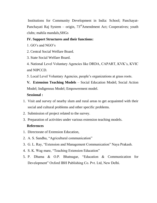Institutions for Community Development in India: School; Panchayat**-**Panchayati Raj System – origin,  $73<sup>rd</sup>$ Amendment Act; Cooperatives; youth clubs; mahila mandals,SHGs

# **IV. Support Structures and their functions:**

- 1. GO"s and NGO"s
- 2. Central Social Welfare Board.
- 3. State Social Welfare Board.
- 4. National Level Voluntary Agencies like DRDA, CAPART, KVK"s, KVIC and NIPCCD.
- 5. Local Level Voluntary Agencies, people"s organizations at grass roots.
- **V. Extension Teaching Models** Social Education Model; Social Action Model; Indigenous Model; Empowerment model.

# **Sessional :**

- 1. Visit and survey of nearby slum and rural areas to get acquainted with their social and cultural problems and other specific problems.
- 2. Submission of project related to the survey.
- 3. Preparation of activities under various extension teaching models.

# **References**

- 1. Directorate of Extension Education,
- 2. A. S. Sandhu, "Agricultural communication"
- 3. G. L. Ray, "Extension and Management Communication" Naya Prakash.
- 4. S. K. Wag mare, "Teaching Extension Education"
- 5. P. Dhama & O.P. Bhatnagar, "Education & Communication for Development" Oxford IBH Publishing Co. Pvt. Ltd, New Delhi.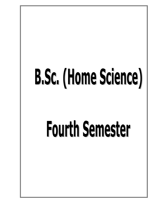# B.Sc. (Home Science)

# **Fourth Semester**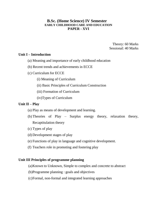# **B.Sc. (Home Science) IV Semester EARLY CHILDHOOD CARE AND EDUCATION PAPER - XVI**

Theory: 60 Marks Sessional: 40 Marks

### **Unit I – Introduction**

- (a) Meaning and importance of early childhood education
- (b) Recent trends and achievements in ECCE
- (c) Curriculum for ECCE
	- (i) Meaning of Curriculum
	- (ii) Basic Principles of Curriculum Construction
	- (iii) Formation of Curriculum

(iv)Types of Curriculum

# **Unit II – Play**

- (a) Play as means of development and learning.
- (b) Theories of Play Surplus energy theory, relaxation theory, Recaptitulation theory
- (c) Types of play
- (d) Development stages of play
- (e) Functions of play in language and cognitive development.
- (f) Teachers role in promoting and fostering play

# **Unit III Principles of programme planning**

- (a)Known to Unknown, Simple to complex and concrete to abstract
- (b)Programme planning : goals and objectives
- (c)Formal, non-formal and integrated learning approaches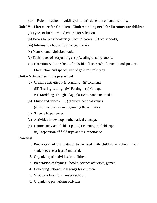**(d)** Role of teacher in guiding children's development and learning.

# **Unit IV – Literature for Children – Understanding need for literature for children**

- (a) Types of literature and criteria for selection
- (b) Books for preschoolers: (i) Picture books (ii) Story books,
- (iii) Information books (iv) Concept books
- (v) Number and Alphabet books
- (c) Techniques of storytelling :- (i) Reading of story books,
- (ii) Narration with the help of aids like flash cards, flannel board puppets, Modulation and speech, use of gestures, role play.

# **Unit – V Activities in the pre-school**

- (a) Creative activities :- (i) Painting (ii) Drawing
	- (iii) Tearing cutting (iv) Pasting, (v) Collage
	- (vi) Modeling (Dough, clay, plasticine sand and mud.)
- (b) Music and dance (i) their educational values (ii) Role of teacher in organizing the activities
- (c) Science Experiences
- (d) Activities to develop mathematical concept.
- (e) Nature study and field Trips :- (i) Planning of field trips

(ii) Preparation of field trips and its importance

# **Practical**

- 1. Preparation of the material to be used with children in school. Each student to use at least 5 material.
- 2. Organizing of activities for children.
- 3. Preparation of rhymes books, science activities, games.
- 4. Collecting national folk songs for children.
- 5. Visit to at least four nursery school.
- 6. Organizing pre writing activities.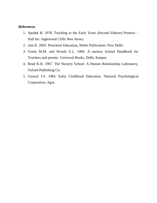### **References**

- 1. Spodek B. 1978. Teaching in the Early Years (Second Edition) Prentice Hall Inc. Inglewood Cliffs New Jersey.
- 2. Jain K. 2003. Preschool Education, Mohit Publication, New Delhi.
- 3. Green M.M. and Woods E.L. 1969. A nursery School Handbook for Teachers and parents. Universal Books, Delhi, Kanpur.
- 4. Read K.H. 1967. The Nursery School. A Human Relationship Laboratory, Oxford Publishing Co.
- 5. Grewal J.S. 1984. Early Childhood Education, National Psychological Corporation, Agra.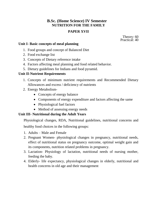# **B.Sc. (Home Science) IV Semester NUTRITION FOR THE FAMILY**

# **PAPER XVII**

Theory: 60 Practical: 40

# **Unit I- Basic concepts of meal planning**

- 1. Food groups and concept of Balanced Diet
- 2. Food exchange list
- 3. Concepts of Dietary reference intake
- 4. Factors affecting meal planning and food related behavior.
- 5. Dietary guidelines for Indians and food pyramid.

# **Unit II-Nutrient Requirements**

- 1. Concepts of minimum nutrient requirements and Recommended Dietary Allowances and excess / deficiency of nutrients
- 2. Energy Metabolism-
	- Concepts of energy balance
	- Components of energy expenditure and factors affecting the same
	- Physiological fuel factors
	- Method of assessing energy needs

# **Unit III- Nutritional during the Adult Years**

Physiological changes, RDA, Nutritional guidelines, nutritional concerns and healthy food choices in the following groups:

- 1. Adults Male and Female
- 2. Pregnant Women- physiological changes in pregnancy, nutritional needs, effect of nutritional status on pregnancy outcome, optimal weight gain and its components, nutrition related problems in pregnancy.
- 3. Lactation- Physiology of lactation, nutritional needs of nursing mother, feeding the baby.
- 4. Elderly- life expectancy, physiological changes in elderly, nutritional and health concerns in old age and their management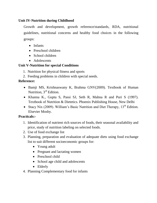# **Unit IV-Nutrition during Childhood**

Growth and development, growth reference/standards, RDA, nutritional guidelines, nutritional concerns and healthy food choices in the following groups:

- Infants
- Preschool children
- School children
- Adolescents

# **Unit V-Nutrition for special Conditions**

- 1. Nutrition for physical fitness and sports
- 2. Feeding problems in children with special needs.

# **Reference:**

- Bamji MS, Krishnaswany K, Brahma GNV(2009). Textbook of Human Nutrition, 3<sup>rd</sup> Edition.
- Khanna K., Gupta S, Passi SJ, Seth R, Mahna R and Puri S (1997). Textbook of Nutrition & Dietetics. Phoenix Publishing House, New Delhi
- Stacy Nix (2009). William's Basic Nutrition and Diet Therapy,  $13<sup>th</sup>$  Edition. Elsevier Mosby.

# **Practicals:-**

- 1. Identification of nutrient rich sources of foods, their seasonal availability and price, study of nutrition labeling on selected foods.
- 2. Use of food exchange list
- 3. Planning, preparation and evaluation of adequate diets using food exchange list to suit different socioeconomic groups for:
	- Young adult
	- Pregnant and lactating women
	- Preschool child
	- School age child and adolescents
	- Elderly
- 4. Planning Complementary food for infants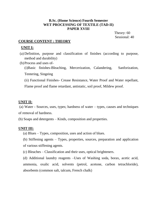# **B.Sc. (Home Science) Fourth Semester WET PROCESSING OF TEXTILE (TAD-II) PAPER XVIII**

 Theory: 60 Sessional: 40

# **COURSE CONTENT : THEORY**

# **UNIT I:**

- (a) Definition, purpose and classification of finishes (according to purpose, method and durability)
- (b)Process and uses of-
	- (i)Basic finishes-Bleaching, Mercerization, Calandering, Sanforization, Tentering, Singeing
	- (ii) Functional Finishes- Crease Resistance, Water Proof and Water repellant,

Flame proof and flame retardant, antistatic, soil proof, Mildew proof.

### **UNIT II:**

(a) Water - Sources, uses, types; hardness of water – types, causes and techniques of removal of hardness.

(b) Soaps and detergents – Kinds, composition and properties.

### **UNIT III:**

- (a) Blues Types, composition, uses and action of blues.
- (b) Stiffening agents Types, properties, sources, preparation and application of various stiffening agents.
- (c) Bleaches Classification and their uses, optical brighteners.

(d) Additional laundry reagents –Uses of Washing soda, borax, acetic acid, ammonia, oxalic acid, solvents (petrol, acetone, carbon tetrachloride), absorbents (common salt, talcum, French chalk)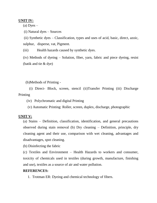### **UNIT IV:**

 $(a)$  Dyes  $-$ 

(i) Natural dyes – Sources

(ii) Synthetic dyes – Classification, types and uses of acid, basic, direct, azoic, sulphur, disperse, vat, Pigment.

(iii) Health hazards caused by synthetic dyes.

(iv) Methods of dyeing – Solution, fiber, yarn, fabric and piece dyeing, resist (batik and tie & dye)

(b)Methods of Printing -

 (i) Direct- Block, screen, stencil (ii)Transfer Printing (iii) Discharge Printing

(iv) Polychromatic and digital Printing

(v) Automatic Printing: Roller, screen, duplex, discharge, photographic

### **UNIT V:**

(a) Stains – Definition, classification, identification, and general precautions observed during stain removal (b) Dry cleaning – Definition, principle, dry cleaning agent and their use, comparison with wet cleaning, advantages and disadvantages, spot cleaning.

(b) Disinfecting the fabric

(c) Textiles and Environment – Health Hazards to workers and consumer, toxicity of chemicals used in textiles (during growth, manufacture, finishing and use), textiles as a source of air and water pollution.

### **REFERENCES:**

1. Trotman ER: Dyeing and chemical technology of fibers.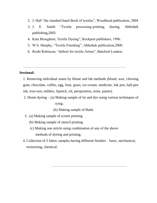- 2. J. Hall "the standard hand Book of textiles", Woodhead publication, 2004
- 3. J. E. Smith "Textile processing-printing, dyeing, Abhishek publishing,2003.
- 4. Kate Broughton, Textile Dyeing", Rockport publishers, 1996.
- 5. W.S. Murphy, "Textile Finishing", Abhishek publication,2000.
- 6. Roshi Robinson, "shibori for textile Artists", Batsford London.

…………………………………………………………………………..

### **Sessional:**

1. Removing individual stains by Home and lab methods (blood, wax, chewing gum, chocolate, coffee, egg, fruit, grass, ice-cream, medicine, Ink pen, ball-pen ink, iron-rust, mildew, lipstick, oil, perspiration, urine, paints).

 2. Home dyeing – (a) Making sample of tie and dye using various techniques of tying.

(b) Making sample of Batik

- 3. (a) Making sample of screen printing
	- (b) Making sample of stencil printing
	- (c) Making one article using combination of any of the above methods of dyeing and printing.
- 4. Collection of 5 fabric samples having different finishes basic, mechanical, texturizing, chemical.

………………………………………………………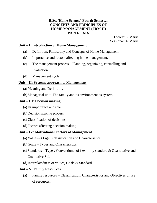# **B.Sc. (Home Science) Fourth Semester CONCEPTS AND PRINCIPLES OF HOME MANAGEMENT (FRM-II) PAPER - XIX**

Theory: 60Marks Sessional: 40Marks

# **Unit – I: Introduction of Home Management**

- (a) Definition, Philosophy and Concepts of Home Management.
- (b) Importance and factors affecting home management.
- (c) The management process Planning, organizing, controlling and Evaluation.
- (d) Management cycle.

# **Unit – II: Systems approach to Management**

- (a) Meaning and Definition.
- (b)Managerial unit- The family and its environment as system.

# **Unit – III: Decision making**

- (a) Its importance and role.
- (b)Decision making process.
- (c) Classification of decisions.
- (d)Factors affecting decision making.

# **Unit – IV: Motivational Factors of Management**

- (a) Values Origin, Classification and Characteristics.
- (b)Goals Types and Characteristics.
- (c) Standards Types, Conventional of flexibility standard & Quantitative and Qualitative Std.
- (d)Interrelatedness of values, Goals & Standard.

### **Unit – V: Family Resources**

(a) Family resources – Classification, Characteristics and Objectives of use of resources.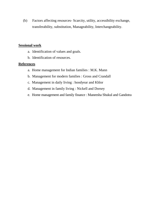(b) Factors affecting resources- Scarcity, utility, accessibility exchange, transferability, substitution, Manageability, Interchangeability.

### **Sessional work**

- a. Identification of values and goals.
- b. Identification of resources.

### **References**

- a. Home management for Indian families : M.K. Mann
- b. Management for modern families : Gross and Crandall
- c. Management in daily living : hoodyear and Khlor
- d. Management in family living : Nickell and Dorsey
- e. Home management and family finance : Maneesha Shukul and Gandotra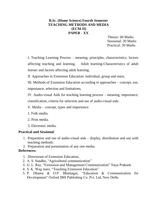# **B.Sc. (Home Science) Fourth Semester TEACHING METHODS AND MEDIA (ECM-II) PAPER - XX**

 Theory: 60 Marks Sessional: 20 Marks Practical: 20 Marks

I. Teaching Learning Process – meaning, principles, characteristics, factors affecting teaching and learning. Adult learning-Characteristics of adult learner and factors affecting adult learning.

II. Approaches in Extension Education: individual, group and mass.

III. Methods of Extension Education according to approaches – concept, use, importance, selection and limitations.

IV. Audio-visual Aids for teaching learning process – meaning, importance, classification, criteria for selection and use of audio-visual aids.

V. Media – concept, types and importance.

1. Folk media.

- 2. Print media.
- 3. Electronic media.

### **Practical and Sessional**:

- 1. Preparation and use of audio-visual aids display, distribution and use with teaching methods.
- 2. Preparation and presentation of any one media.

### **References:**

- 1. Directorate of Extension Education,
- 2. A. S. Sandhu, "Agricultural communication"
- 3. G. L. Ray, "Extension and Management Communication" Naya Prakash.
- 4. S. K. Wag mare, "Teaching Extension Education"
- 5. P. Dhama & O.P. Bhatnagar, "Education & Communication for Development" Oxford IBH Publishing Co. Pvt. Ltd, New Delhi.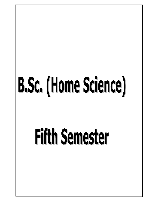# B.Sc. (Home Science)

# **Fifth Semester**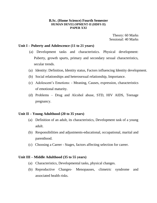### **B.Sc. (Home Science) Fourth Semester HUMAN DEVELOPMENT-II (HDFS II) PAPER XXI**

Theory: 60 Marks Sessional: 40 Marks

### **Unit I – Puberty and Adolescence (11 to 21 years)**

- (a) Development tasks and characteristics. Physical development: Puberty, growth spurts, primary and secondary sexual characteristics, secular trends.
- (a) Identity: Definition, Identity status, Factors influencing Identity development.
- (b) Social relationships and heterosexual relationship, Importance.
- (c) Adolescent"s Emotions: Meaning, Causes, expression, characteristics of emotional maturity.
- (d) Problems Drug and Alcohol abuse, STD, HIV AIDS, Teenage pregnancy.

### **Unit II – Young Adulthood (20 to 35 years)**

- (a) Definition of an adult, its characteristics, Development task of a young adult.
- (b) Responsibilities and adjustments-educational, occupational, marital and parenthood.
- (c) Choosing a Career Stages, factors affecting selection for career.

### **Unit III – Middle Adulthood (35 to 55 years)**

- (a) Characteristics, Developmental tasks, physical changes.
- (b) Reproductive Changes- Menopauses, climetric syndrome and associated health risks.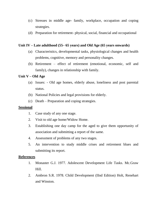- (c) Stresses in middle age- family, workplace, occupation and coping strategies.
- (d) Preparation for retirement- physical, social, financial and occupational

# **Unit IV – Late adulthood (55– 65 years) and Old Age (65 years onwards)**

- (a) Characteristics, developmental tasks, physiological changes and health problems, cognitive, memory and personality changes.
- (b) Retirement effect of retirement (emotional, economic, self and family), changes in relationship with family.

### **Unit V – Old Age**

- (a) Issues: Old age homes, elderly abuse, loneliness and post parental status.
- (b) National Policies and legal provisions for elderly.
- (c) Death Preparation and coping strategies.

### **Sessional**

- 1. Case study of any one stage.
- 2. Visit to old age home/Widow Home.
- 3. Establishing one day camp for the aged to give them opportunity of association and submitting a report of the same.
- 4. Assessment of problems of any two stages.
- 5. An intervention to study middle crises and retirement blues and submitting its report.

### **References**

- 1. Monaster G.J. 1977. Adolescent Development Life Tasks. Mc.Graw Hill.
- 2. Ambron S.R. 1978. Child Development (IInd Edition) Holt, Renehart and Winston.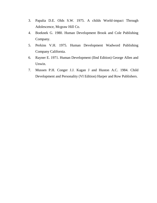- 3. Papalia D.E. Olds S.W. 1975. A childs World-impact Through Adolescence, Mcgraw Hill Co.
- 4. Boeknek G. 1980. Human Development Brook and Cole Publishing Company.
- 5. Perkins V.H. 1975. Human Development Wadword Publishing Company California.
- 6. Rayner E. 1971. Human Development (IInd Edition) George Allen and Unwin.
- 7. Mussen P.H. Conger J.J. Kagan J and Huston A.C. 1984. Child Development and Personality (VI Edition) Harper and Row Publishers.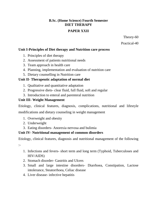# **B.Sc. (Home Science) Fourth Semester DIET THERAPY**

# **PAPER XXII**

Theory-60

Practical-40

# **Unit I-Principles of Diet therapy and Nutrition care process**

- 1. Principles of diet therapy
- 2. Assessment of patients nutritional needs
- 3. Team approach in health care
- 4. Planning, implementation and evaluation of nutrition care
- 5. Dietary counselling in Nutrition care

# **Unit II- Therapeutic adaptation of normal diet**

- 1. Qualitative and quantitative adaptation
- 2. Progressive diets- clear fluid, full fluid, soft and regular
- 3. Introduction to enteral and parenteral nutrition

# **Unit III- Weight Management**

Etiology, clinical features, diagnosis, complications, nutritional and lifestyle

modifications and dietary counseling in weight management

- 1. Overweight and obesity
- 2. Underweight
- 3. Eating disorders- Anorexia nervosa and bulimia

# **Unit IV- Nutritional management of common disorders**

Etiology, clinical features, diagnosis and nutritional management of the following

:-

- 1. Infections and fevers- short term and long term (Typhoid, Tuberculoses and HIV/AIDS)
- 2. Stomach disorder- Gastritis and Ulcers
- 3. Small and large intestine disorders- Diarrhoea, Constipation, Lactose intolerance, Steatorrhoea, Celiac disease
- 4. Liver disease- infective hepatitis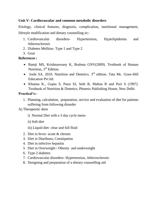# **Unit V- Cardiovascular and common metabolic disorders**

Etiology, clinical features, diagnosis, complication, nutritional management, lifestyle modification and dietary counselling in:-

- 1. Cardiovascular disorders- Hypertension, Hyperlipidemia and Atherosclerosis
- 2. Diabetes Mellitus- Type 1 and Type 2
- 3. Gout

# **References :**

- Bamji MS, Krishnaswany K, Brahma GNV(2009). Textbook of Human Nutrition, 3<sup>rd</sup> Edition.
- Joshi SA. 2010. Nutrition and Dietetics.  $3<sup>rd</sup>$  edition. Tata Mc. Graw-Hill Education Pvt ltd.
- Khanna K., Gupta S, Passi SJ, Seth R, Mahna R and Puri S (1997). Textbook of Nutrition & Dietetics. Phoenix Publishing House, New Delhi

# **Practical's:-**

1. Planning, calculation, preparation, service and evaluation of diet for patients suffering from following disorder

A) Therapeutic diets

- i) Normal Diet with a 3 day cycle menu
- ii) Soft diet
- iii) Liquid diet- clear and full fluid
- 2. Diet in fever- acute & chronic
- 3. Diet in Diarrhoea, Constipation
- 4. Diet in infective hepatitis
- 5. Diet in Overweight / Obesity and underweight
- 6. Type 2 diabetes
- 7. Cardiovascular disorders- Hypertension, Atherosclerosis
- 8. Designing and preparation of a dietary counselling aid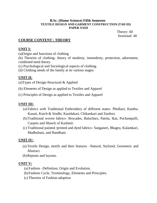### **B.Sc. (Home Science) Fifth Semester TEXTILE DESIGN AND GARMENT CONSTRUCTION (TAD III) PAPER XXIII**

 Theory: 60 Sessional: 40

# **COURSE CONTENT : THEORY**

# **UNIT I:**

(a)Origin and functions of clothing

(b) Theories of clothing- theory of modesty, immodesty, protection, adornment, combined need theory.

- (c) Psychological and Sociological aspects of clothing.
- (d) Clothing needs of the family at its various stages.

# **UNIT II:**

(a)Types of Design-Structural & Applied

- (b) Elements of Design as applied to Textiles and Apparel
- (c) Principles of Design as applied to Textiles and Apparel

# **UNIT III:**

- (a) Fabrics with Traditional Embroidery of different states- Phulkari, Kantha, Kasuti, Kutch & Sindhi, Kasidakari, Chikankari and Zardozi.
- (b)Traditional woven fabrics- Brocades, Baluchars, Patola, Ikat, Pochampalli, Carpets and Shawls of Kashmir.
- (c) Traditional painted /printed and dyed fabrics- Sanganeri, Bhagru, Kalamkari, Madhubani, and Bandhani.

# **UNIT IV:**

- (a) Textile Design, motifs and their features –Natural, Stylized, Geometric and Abstract.
- (b)Repeats and layouts.

# **UNIT V:**

- (a) Fashion –Definition, Origin and Evolution.
- (b)Fashion Cycle, Terminology, Elements and Principles.
- (c) Theories of Fashion adoption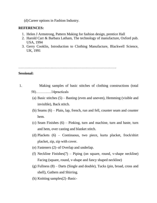(d)Career options in Fashion Industry.

### **REFERENCES:**

- 1. Helen J Armstrong, Pattern Making for fashion design, prentice Hall
- 2. Harold Carr & Barbara Latham, The technology of manufacture, Oxford pub. USA, 1994
- 3. Gerry Cooklin, Introduction to Clothing Manufacture, Blackwell Science, UK, 1991

……………………………………………………………………….

### **Sessional:**

- 1. Making samples of basic stitches of clothing constructions (total 58)………….14practicals
	- (a) Basic stitches (5) Basting (even and uneven), Hemming (visible and invisible), Back stitch.
	- (b) Seams (6) Plain, lap, french, run and fell, counter seam and counter hem.
	- (c) Seam Finishes (6) Pinking, turn and machine, turn and baste, turn and hem, over casting and blanket stitch.
	- (d) Plackets (6) Continuous, two piece, kurta placket, frock/shirt placket, zip, zip with cover.
	- (e) Fasteners (2)–of Overlap and underlap.
	- (f) Neckline Finishes(7) Piping (on square, round, v-shape neckline) Facing (square, round, v-shape and fancy shaped neckline)
	- (g) Fullness (8) Darts (Single and double), Tucks (pin, broad, cross and shell), Gathers and Shirring.
	- (h) Knitting samples(2)–Basic-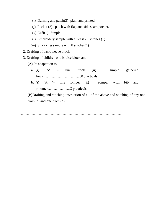- (i) Darning and patch(3)- plain and printed
- (j) Pocket (2)– patch with flap and side seam pocket.
- (k) Cuff(1)- Simple
- (l) Embroidery sample with at least 20 stitches (1)
- (m) Smocking sample with 8 stitches(1)
- 2. Drafting of basic sleeve block.
- 3. Drafting of child's basic bodice block and
	- (A) Its adaptation to
		- a. (i) 'A' line frock (ii) simple gathered frock…………………………..8 practicals
		- b. (i) "A "– line romper (ii) romper with bib and bloomer……………….8 practicals

(B)Drafting and stitching instruction of all of the above and stitching of any one from (a) and one from (b).

……………………………………………………………………………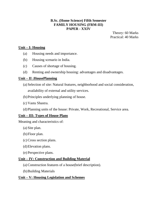# **B.Sc. (Home Science) Fifth Semester FAMILY HOUSING (FRM-III) PAPER - XXIV**

Theory: 60 Marks Practical: 40 Marks

# **Unit – I: Housing**

- (a) Housing needs and importance.
- (b) Housing scenario in India.
- (c) Causes of shortage of housing.
- (d) Renting and ownership housing: advantages and disadvantages.

# **Unit – II :HousePlanning**

- (a) Selection of site: Natural features, neighborhood and social consideration, availability of external and utility services.
- (b)Principles underlying planning of house.
- (c) Vastu Shastra.
- (d)Planning units of the house: Private, Work, Recreational, Service area.

# **Unit – III: Types of House Plans**

Meaning and characteristics of:

- (a) Site plan.
- (b)Floor plan.
- (c) Cross section plans.
- (d)Elevation plans.
- (e) Perspective plans.

# **Unit – IV: Construction and Building Material**

- (a) Construction features of a house(brief description).
- (b)Building Materials

# **Unit – V: Housing Legislation and Schemes**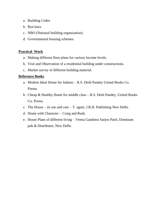- a. Building Codes
- b. Bye-laws
- c. NBO (National building organization).
- d. Governmental housing schemes.

# **Practical Work**

- a. Making different floor plans for various Income levels.
- b. Visit and Observation of a residential building under constructions.
- c. Market survey of different building material.

### **Reference Books**

- a. Modern Ideal Home for Indians R.S. Desh Pandey United Books Co. Poona.
- b. Cheap & Healthy Home for middle class R.S. Desh Pandey, United Books Co. Poona.
- c. The House its use and care T. again, J.B.H. Publishing New Delhi.
- d. Home with Character Craig and Rush.
- e. House Plans of different living Veena Gandotra Sarjoo Patel, Dominant pub & Distributor, New Delhi.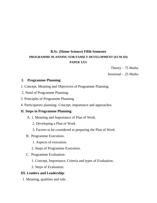# **B.Sc. (Home Science) Fifth Semester PROGRAMME PLANNING FOR FAMILY DEVELOPMENT (ECM-III) PAPER XXV**

Theory  $-75$  Marks

Sessional – 25 Marks

# **I. Programme Planning**:

- 1. Concept, Meaning and Objectives of Programme Planning.
- 2. Need of Programme Planning.
- 3. Principles of Programme Planning
- 4. Participatory planning- Concept, importance and approaches.

### **II. Steps in Programme Planning**:

- A. 1. Meaning and Importance of Plan of Work.
	- 2. Developing a Plan of Work
	- 3. Factors to be considered in preparing the Plan of Work
- B. Programme Execution-
	- 1. Aspects of execution.
	- 2. Steps of Programme Execution.
- C. Programme Evaluation:
	- 1. Concept, Importance, Criteria and types of Evaluation.
	- 2. Steps of Evaluation.

### **III. Leaders and Leadership**:

1. Meaning, qualities and role.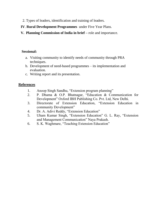- 2. Types of leaders, identification and training of leaders.
- **IV**. **Rural Development Programmes** under Five Year Plans.
- **V. Planning Commission of India in brief –** role and importance.

# **Sessional:**

- a. Visiting community to identify needs of community through PRA techniques.
- b. Development of need-based programmes its implementation and evaluation.
- c. Writing report and its presentation.

# **References**

- 1. Anoop Singh Sandhu, "Extension program planning"
- 2. P. Dhama & O.P. Bhatnagar, "Education & Communication for Development" Oxford IBH Publishing Co. Pvt. Ltd, New Delhi.
- 3. Directorate of Extension Education, "Extension Education in community Development"
- 4. Dr. A. Adivi Reddy, "Extension Education"
- 5. Uham Kumar Singh, "Extension Education" G. L. Ray, "Extension and Management Communication" Naya Prakash.
- 6. S. K. Waghmare, "Teaching Extension Education"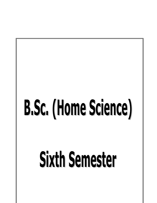# B.Sc. (Home Science)

# **Sixth Semester**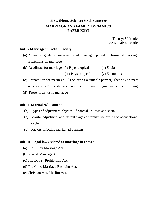# **B.Sc. (Home Science) Sixth Semester MARRIAGE AND FAMILY DYNAMICS PAPER XXVI**

Theory: 60 Marks Sessional: 40 Marks

### **Unit 1- Marriage in Indian Society**

- (a) Meaning, goals, characteristics of marriage, prevalent forms of marriage restrictions on marriage
- (b) Readiness for marriage (i) Psychological (ii) Social (iii) Physiological (v) Economical
- (c) Preparation for marriage (i) Selecting a suitable partner, Theories on mate selection (ii) Premarital association (iii) Premarital guidance and counseling
- (d) Presents trends in marriage

### **Unit II- Marital Adjustment**

- (b) Types of adjustment-physical, financial, in-laws and social
- (c) Marital adjustment at different stages of family life cycle and occupational cycle
- (d) Factors affecting marital adjustment

### **Unit III- Legal laws related to marriage in India :-**

- (a) The Hindu Marriage Act
- (b)Special Marriage Act
- (c) The Dowry Prohibition Act.
- (d)The Child Marriage Restraint Act.
- (e) Christian Act, Muslim Act.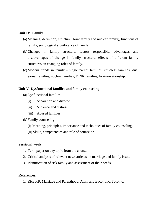### **Unit IV- Family**

- (a) Meaning, definition, structure (Joint family and nuclear family), functions of family, sociological significance of family
- (b)Changes in family structure, factors responsible, advantages and disadvantages of change in family structure, effects of different family structures on changing roles of family.
- (c) Modern trends in family single parent families, childless families, dual earner families, nuclear families, DINK families, liv-in-relationship.

# **Unit V- Dysfunctional families and family counseling**

- (a) Dysfunctional families-
	- (i) Separation and divorce
	- (ii) Violence and distress
	- (iii) Abused families
- (b)Family counseling-
	- (i) Meaning, principles, importance and techniques of family counseling.
	- (ii) Skills, competencies and role of counselor.

### **Sessional work**

- 1. Term paper on any topic from the course.
- 2. Critical analysis of relevant news articles on marriage and family issue.
- 3. Identification of risk family and assessment of their needs.

# **References:**

1. Rice F.P. Marriage and Parenthood. Allyn and Bacon Inc. Toronto.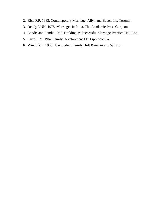- 2. Rice F.P. 1983. Contemporary Marriage. Allyn and Bacon Inc. Toronto.
- 3. Reddy VNK, 1978. Marriages in India. The Academic Press Gurgaon.
- 4. Landis and Landis 1968. Building as Successful Marriage Prentice Hall Enc.
- 5. Duval I.M. 1962 Family Development J.P. Lippincot Co.
- 6. Winch R.F. 1963. The modern Family Holt Rinehart and Winston.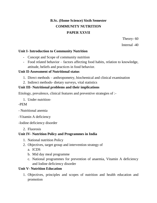# **B.Sc. (Home Science) Sixth Semester COMMUNITY NUTRITION PAPER XXVII**

Theory- 60

Internal -40

# **Unit I- Introduction to Community Nutrition**

- Concept and Scope of community nutrition
- Food related behavior factors affecting food habits, relation to knowledge, attitude, beliefs and practices in food behavior.

# **Unit II-Assessment of Nutritional status**

- 1. Direct methods anthropometry, biochemical and clinical examination
- 2. Indirect methods- dietary surveys, vital statistics

# **Unit III- Nutritional problems and their implications**

Etiology, prevalence, clinical features and preventive strategies of :-

1. Under nutrition-

-PEM

- Nutritional anemia

-Vitamin A deficiency

-Iodine deficiency disorder

2. Fluorosis

# **Unit IV- Nutrition Policy and Programmes in India**

- 1. National nutrition Policy
- 2. Objectives, target group and intervention strategy of
	- a. ICDS
	- b. Mid day meal programme
	- c. National programmes for prevention of anaemia, Vitamin A deficiency and Iodine deficiency disorder

# **Unit V- Nutrition Education**

1. Objectives, principles and scopes of nutrition and health education and promotion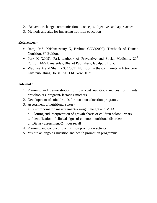- 2. Behaviour change communication concepts, objectives and approaches.
- 3. Methods and aids for imparting nutrition education

# **References:-**

- Bamji MS, Krishnaswany K, Brahma GNV(2009). Textbook of Human Nutrition, 3<sup>rd</sup> Edition.
- Park K (2009). Park textbook of Preventive and Social Medicine,  $20<sup>th</sup>$ Edition. M/S Banarsidas, Bhanot Publishers, Jabalpur, India.
- Wadhwa A and Sharma S. (2003). Nutrition in the community  $-A$  textbook. Elite publishing House Pvt . Ltd. New Delhi

# **Internal :**

- 1. Planning and demonstration of low cost nutritious recipes for infants, preschoolers, pregnant/ lactating mothers.
- 2. Development of suitable aids for nutrition education programs.
- 3. Assessment of nutritional status
	- a. Anthropometric measurements- weight, height and MUAC.
	- b. Plotting and interpretation of growth charts of children below 5 years
	- c. Identification of clinical signs of common nutritional disorders
	- d. Dietary assessment-24 hour recall
- 4. Planning and conducting a nutrition promotion activity
- 5. Visit to an ongoing nutrition and health promotion programme.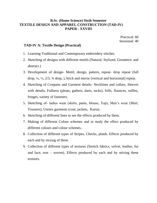## **B.Sc. (Home Science) Sixth Semester TEXTILE DESIGN AND APPAREL CONSTRUCTION (TAD-IV) PAPER - XXVIII**

 Practical: 60 Sessional: 40

### **TAD-IV A: Textile Design (Practical)**

- 1. Learning Traditional and Contemporary embroidery stitches.
- 2. Sketching of designs with different motifs (Natural, Stylized, Geometric and abstract.)
- 3. Development of design- Motif, design, pattern, repeat- drop repeat (full drop, ¼, ½, 2/3, ¾ drop, ), brick and mirror (vertical and horizontal) repeat.
- 4. Sketching of Croquets and Garment details- Necklines and collars, Sleeves with details, Fullness (pleats, gathers, darts, tucks), frills, flounces, ruffles, fringes, variety of fasteners.
- 5. Sketching of- ladies wear (skirts, pants, blouse, Top), Men"s wear (Shirt, Trousers), Unisex garments (coat, jackets, Kurta) .
- 6. Sketching of-different lines to see the effects produced by them.
- 7. Making of different Colour schemes and to study the effect produced by different colours and colour schemes..
- 8. Collection of different types of Stripes, Checks, plaids. Effects produced by each and by mixing of these.
- 9. Collection of different types of textures (Stretch fabrics, velvet, leather, fur and lace, non – woven). Effects produced by each and by mixing these textures.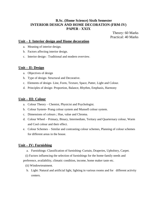# **B.Sc. (Home Science) Sixth Semester INTERIOR DESIGN AND HOME DECORATION (FRM-IV) PAPER - XXIX**

Theory: 60 Marks Practical: 40 Marks

### **Unit – I: Interior design and Home decoration**

- a. Meaning of interior design.
- b. Factors affecting interior design.
- c. Interior design : Traditional and modern overview.

### **Unit – II: Design**

- a. Objectives of design
- b. Type of design- Structural and Decorative.
- c. Elements of design- Line, Form, Texture, Space, Patter, Light and Colour.
- d. Principles of design- Proportion, Balance, Rhythm, Emphasis, Harmony

### **Unit – III: Colour**

- a. Colour Theory Chemist, Physicist and Psychologist.
- b. Colour System- Prang colour system and Munsell colour system.
- c. Dimensions of colours ; Hue, value and Chroma.
- d. Colour Wheel Primary, Binary, Intermediate, Teritary and Quarternary colour, Warm and Cool colour and their effect.
- e. Colour Schemes Similar and contrasting colour schemes, Planning of colour schemes for different areas in the house.

### **Unit – IV: Furnishing**

- a. Furnishings: Classification of furnishing–Curtain, Draperies, Upholstry, Carpet.
- (i) Factors influencing the selection of furnishings for the home-family needs and

preference, availability, climatic condition, income, home maker taste etc.

- (ii) Windowtreatment.
- b. Light: Natural and artificial light, lighting in various rooms and for different activity centers.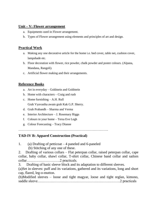#### **Unit – V: Flower arrangement**

- a. Equipments used in Flower arrangement.
- b. Types of Flower arrangement using elements and principles of art and design.

# **Practical Work**

- a. Making any one decorative article for the home i.e. bed cover, table net, cushion cover, lampshade etc.
- b. Floor decoration with flower, rice powder, chalk powder and poster colours. (Alpana, Mandana, Rangoli).
- c. Artificial flower making and their arrangements.

# **Reference Books**

- a. Art in everyday Goldstein and Goldstein
- b. Home with characters Craig and rush
- c. Home furnishing A.H. Rull Grah Vyavastha awam grah Kak G.P. Sherry.
- d. Grah Prabandh Sharma and Verma
- e. Interior Architecture J. Rosemary Riggs
- f. Colours in your home Tersa Eve Legh
- g. Colour Forecasting Tracy Dianne

…………………………………………………………………

# **TAD-IV B: Apparel Construction (Practical)**

1. (a) Drafting of petticoat – 4 paneled and 6-paneled (b) Stitching of any one of these.

2. Drafting of various collars – Flat peterpan collar, raised peterpan collar, cape collar, baby collar, shawl collar, T-shirt collar, Chinese band collar and sailors collar……………………….2 practicals.

3. Drafting of basic sleeve block and its adaptation to different sleeves.

(a)Set in sleeves: puff and its variations, gathered and its variations, long and short cap, flared, leg-o-mutton.

(b)Modified sleeves – loose and tight magyar, loose and tight reglan, kimono, saddle sleeve……………………………………………………………2 practicals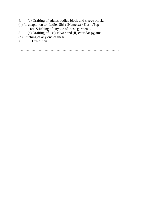4. (a) Drafting of adult's bodice block and sleeve block.

- (b) Its adaptation to: Ladies Shirt (Kameez) / Kurti /Top
	- (c) Stitching of anyone of these garments.
- 5. (a) Drafting of  $-$  (i) salwar and (ii) churidar pyjama
- (b) Stitching of any one of these.
- 6. Exhibition

…………………………………………………………………………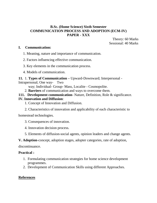### **B.Sc. (Home Science) Sixth Semester COMMUNICATION PROCESS AND ADOPTION (ECM-IV) PAPER - XXX**

Theory: 60 Marks Sessional: 40 Marks

#### **I. Communication:**

- 1. Meaning, nature and importance of communication.
- 2. Factors influencing effective communication.
- 3. Key elements in the communication process.
- 4. Models of communication.

## **11.** 1. **Types of Communication –** Upward-Downward; Interpersonal -

Intrapersonal; One way- Two

way; Individual- Group- Mass, Localite - Cosmopolite.

2. **Barriers** of communication and ways to overcome them.

### **111. Development communication-** Nature, Definition, Role & significance. **IV. Innovation and Diffusion**:

- 1. Concept of Innovation and Diffusion.
- 2. Characteristics of innovation and applicability of each characteristic to

homestead technologies.

- 3. Consequences of innovation.
- 4. Innovation decision process.
- 5. Elements of diffusion-social agents, opinion leaders and change agents.
- **V. Adoption**-concept, adoption stages, adopter categories, rate of adoption,

discontinuance.

### **Practical :**

- 1. Formulating communication strategies for home science development programmes.
- 2. Development of Communication Skills using different Approaches.

## **References**